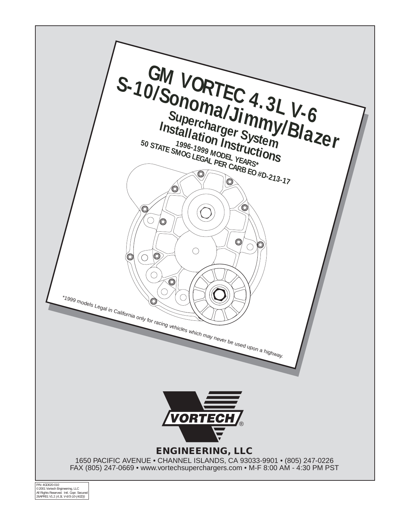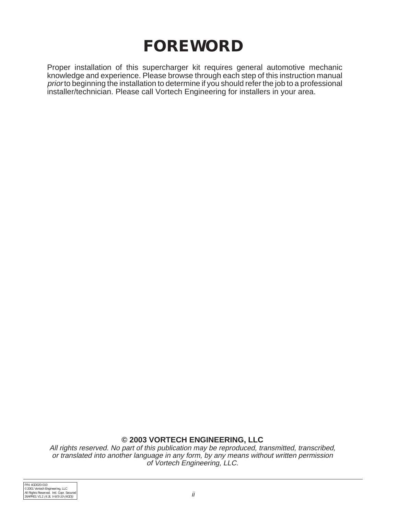# **FOREWORD**

Proper installation of this supercharger kit requires general automotive mechanic knowledge and experience. Please browse through each step of this instruction manual prior to beginning the installation to determine if you should refer the job to a professional installer/technician. Please call Vortech Engineering for installers in your area.

#### **© 2003 VORTECH ENGINEERING, LLC**

All rights reserved. No part of this publication may be reproduced, transmitted, transcribed, or translated into another language in any form, by any means without written permission of Vortech Engineering, LLC.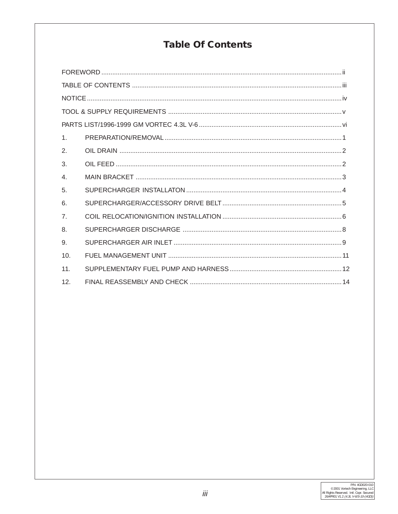### **Table Of Contents**

| 1 <sub>1</sub> |  |  |  |  |  |
|----------------|--|--|--|--|--|
| 2.             |  |  |  |  |  |
| 3.             |  |  |  |  |  |
| $\overline{4}$ |  |  |  |  |  |
| 5.             |  |  |  |  |  |
| 6.             |  |  |  |  |  |
| $\overline{7}$ |  |  |  |  |  |
| 8.             |  |  |  |  |  |
| 9.             |  |  |  |  |  |
| 10.            |  |  |  |  |  |
| 11.            |  |  |  |  |  |
| 12.            |  |  |  |  |  |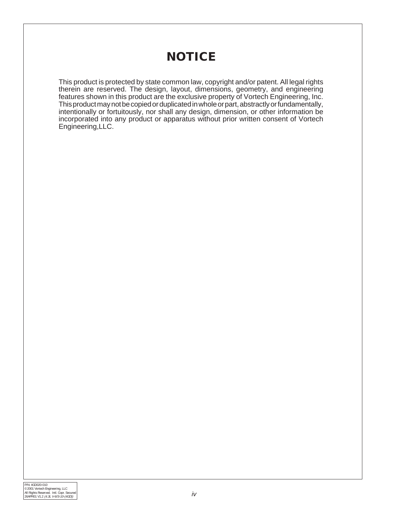## **NOTICE**

This product is protected by state common law, copyright and/or patent. All legal rights therein are reserved. The design, layout, dimensions, geometry, and engineering features shown in this product are the exclusive property of Vortech Engineering, Inc. This product may not be copied or duplicated in whole or part, abstractly or fundamentally, intentionally or fortuitously, nor shall any design, dimension, or other information be incorporated into any product or apparatus without prior written consent of Vortech Engineering,LLC.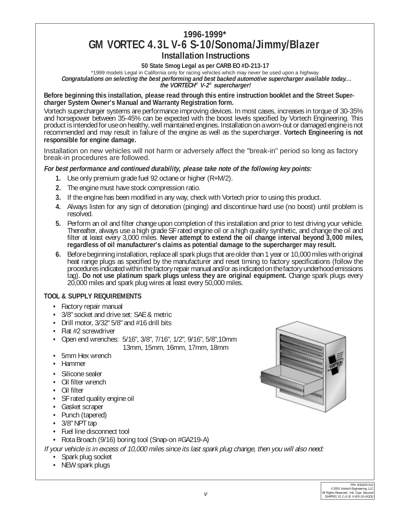#### **1996-1999\* GM VORTEC 4.3L V-6 S-10/Sonoma/Jimmy/Blazer Installation Instructions**

**50 State Smog Legal as per CARB EO #D-213-17**

\*1999 models Legal in California only for racing vehicles which may never be used upon a highway. **Congratulations on selecting the best performing and best backed automotive supercharger available today... the VORTECH® V-2® supercharger!**

**Before beginning this installation, please read through this entire instruction booklet and the Street Supercharger System Owner's Manual and Warranty Registration form.**

Vortech supercharger systems are performance improving devices. In most cases, increases in torque of 30-35% and horsepower between 35-45% can be expected with the boost levels specified by Vortech Engineering. This product is intended for use on healthy, well maintained engines. Installation on a worn-out or damaged engine is not recommended and may result in failure of the engine as well as the supercharger. **Vortech Engineering is not responsible for engine damage.**

Installation on new vehicles will not harm or adversely affect the "break-in" period so long as factory break-in procedures are followed.

#### **For best performance and continued durability, please take note of the following key points:**

- **1.** Use only premium grade fuel 92 octane or higher (R+M/2).
- **2.** The engine must have stock compression ratio.
- **3.** If the engine has been modified in any way, check with Vortech prior to using this product.
- **4.** Always listen for any sign of detonation (pinging) and discontinue hard use (no boost) until problem is resolved.
- **5.** Perform an oil and filter change upon completion of this installation and prior to test driving your vehicle. Thereafter, always use a high grade SF rated engine oil or a high quality synthetic, and change the oil and filter at least every 3,000 miles. **Never attempt to extend the oil change interval beyond 3,000 miles, regardless of oil manufacturer's claims as potential damage to the supercharger may result.**
- **6.** Before beginning installation, replace all spark plugs that are older than 1 year or 10,000 miles with original heat range plugs as specified by the manufacturer and reset timing to factory specifications (follow the procedures indicated within the factory repair manual and/or as indicated on the factory underhood emissions tag). **Do not use platinum spark plugs unless they are original equipment.** Change spark plugs every 20,000 miles and spark plug wires at least every 50,000 miles.

#### **TOOL & SUPPLY REQUIREMENTS**

- **•** Factory repair manual
- **•** 3/8" socket and drive set: SAE & metric
- **•** Drill motor, 3/32" 5/8" and #16 drill bits
- **•** Flat #2 screwdriver
- **•** Open end wrenches: 5/16", 3/8", 7/16", 1/2", 9/16", 5/8",10mm 13mm, 15mm, 16mm, 17mm, 18mm
- **•** 5mm Hex wrench
- **•** Hammer
- **•** Silicone sealer
- **•** Oil filter wrench
- **•** Oil filter
- **•** SF rated quality engine oil
- **•** Gasket scraper
- **•** Punch (tapered)
- **•** 3/8" NPT tap
- **•** Fuel line disconnect tool
- **•** Rota Broach (9/16) boring tool (Snap-on #GA219-A)

If your vehicle is in excess of 10,000 miles since its last spark plug change, then you will also need:

- **•** Spark plug socket
- **•** NEW spark plugs

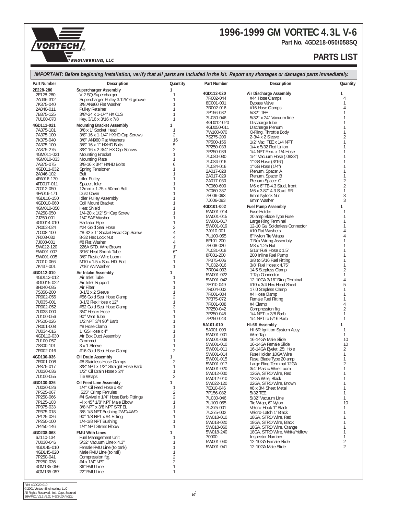## **1996-1999 GM VORTEC 4.3L V-6**

**Part No. 4GD218-050/058SQ**

**ENGINEERING, INC. LLC**

®

**VORTECH** 

#### **PARTS LIST**

|                          | IMPORTANT: Before beginning installation, verify that all parts are included in the kit. Report any shortages or damaged parts immediately. |                     |                         |                                                          |                                |
|--------------------------|---------------------------------------------------------------------------------------------------------------------------------------------|---------------------|-------------------------|----------------------------------------------------------|--------------------------------|
| <b>Part Number</b>       | <b>Description</b>                                                                                                                          | Quantity            | <b>Part Number</b>      | <b>Description</b>                                       | Quantity                       |
| 2E228-280                | <b>Supercharger Assembly</b>                                                                                                                | $\mathbf{1}$<br>1   | 4GD112-020              | Air Discharge Assembly                                   | $\mathbf{1}$                   |
| 2E128-280<br>2A036-312   | V-2 SQ Supercharger<br>Supercharger Pulley 3.125" 6 groove                                                                                  | 1                   | 7R002-044               | #44 Hose Clamps                                          | 4                              |
| 7K375-040                | 3/8 AN960 Flat Washer                                                                                                                       | 1                   | 8D001-001               | <b>Bypass Valve</b>                                      | 1                              |
| 2A040-011                | <b>Pulley Retainer</b>                                                                                                                      | 1                   | 7R002-016<br>7P156-082  | #16 Hose Clamps<br>5/32" TEE                             | 4                              |
| 7B375-125<br>7U100-070   | 3/8"-24 x 1-1/4" HX CLS<br>Key, 3/16 x 3/16 x 7/8                                                                                           | 1                   | 7U030-046               | 5/32" x 24" Vacuum line                                  |                                |
| 4GD111-021               | <b>Mounting Bracket Assembly</b>                                                                                                            | $\mathbf{1}$        | 4GD012-020              | Discharge tube                                           |                                |
| 7A375-101                | 3/8 x 1" Socket Head                                                                                                                        | 1                   | 4GD050-011<br>7W100-070 | Discharge Plenum<br>O-Ring, Throttle Body                | 1                              |
| 7A375-100                | 3/8"-16 x 1-1/4" HXHD Cap Screws                                                                                                            | $\overline{2}$      | 7S275-200               | 2-3/4 x 2 Sleeve                                         | $\overline{2}$                 |
| 7K375-040<br>7A375-100   | 3/8" AN960 Flat Washers<br>3/8"-16 x 1" HXHD Bolts                                                                                          | 16<br>5             | 7P500-156               | 1/2" Vac. TEE x 1/4 NPT                                  | 1                              |
| 7A375-275                | 3/8"-16 x 2-3/4" HX Cap Screws                                                                                                              | $\overline{2}$      | 7P250-033<br>7P250-039  | 1/4 x 5/32 Red Union<br>1/4 NPT Fem. x 1/4 Hose          |                                |
| 4GM011-021               | <b>Mounting Bracket</b>                                                                                                                     | 1                   | 7U030-030               | 1/4" Vacuum Hose (.0833")                                | 1                              |
| 4GM010-033<br>7A375-075  | <b>Mounting Plate</b><br>3/8-16 x 3/4" HXHD Bolts                                                                                           | 1<br>6              | 7U034-016               | 1" GS Hose (3/16")                                       |                                |
| 4GD011-032               | Spring Tensioner                                                                                                                            | 1                   | 7U034-016               | 1" GS Hose (1/4")                                        |                                |
| 2A046-102                | Belt                                                                                                                                        |                     | 2A017-028<br>2A017-029  | Plenum, Spacer A<br>Plenum, Spacer B                     | 1<br>$\mathbf{1}$              |
| 4FA016-170               | <b>Idler Pulley</b>                                                                                                                         |                     | 2A017-030               | Plenum Spacer C                                          | $\sqrt{2}$                     |
| 4FD017-011<br>7C012-050  | Spacer, Idler<br>12mm x 1.75 x 50mm Bolt                                                                                                    |                     | 7C060-600               | M6 x 6" TB 4.3 Stud, front                               | $\sqrt{2}$                     |
| 4FA016-171               | Dust Cover                                                                                                                                  |                     | 7C060-387<br>7F006-093  | M6 x 3.87" 4.3 Stud, RR<br>6mm Nylock Nut                | $\mathbf{1}$<br>3              |
| 4GD116-150               | <b>Idler Pulley Assembly</b>                                                                                                                |                     | 7J006-093               | 6mm Washer                                               | 3                              |
| 4GD010-060<br>4GM010-050 | Coil Mount Bracket<br>Heat Shield                                                                                                           |                     | 4GD101-002              | <b>Fuel Pump Assembly</b>                                | 1                              |
| 7A250-050                | 1/4-20 x 1/2" SH Cap Screw                                                                                                                  |                     | 5W001-014               | Fuse Holder                                              | 1                              |
| 7J250-001                | 1/4" SAE Washer                                                                                                                             |                     | 5W001-015<br>5W001-017  | 20 amp Blade Type Fuse<br>Large Ring Terminal            |                                |
| 4GD014-010<br>7R002-024  | <b>Radiator Pipe</b><br>#24 Gold Seal Hose                                                                                                  | $\overline{2}$      | 5W001-019               | 12-10 Ga. Solderless Connector                           |                                |
| 7C008-100                | #8-32 x 1" Socket Head Cap Screw                                                                                                            | 4                   | 7J010-001               | #10 Flat Washers                                         |                                |
| 7F008-032                | 8-32 Hex Lock Nut                                                                                                                           | $\overline{4}$      | 7U100-055               | 6" Nylon Tie Wraps                                       |                                |
| 7J008-001<br>SW022-120   | #8 Flat Washer<br>226A STD. Wire Brown                                                                                                      | 4<br>$\mathbf{1}$   | 8F101-200<br>7F008-020  | T-Rex Wiring Assembly<br>M8 x 1.25 Nut                   |                                |
| SW001-007                | 3/16" Heat Shrink Tube                                                                                                                      | 6"                  | 7U031-018               | 5/16" Fuel Hose x 1.5"                                   |                                |
| SW001-005                | 3/8" Plastic Wire Loom                                                                                                                      | 1'                  | 8F001-200               | 200 Inline Fuel Pump                                     |                                |
| 7C010-066                | M <sub>10</sub> x 1.5 x Soc. HD. Bolt                                                                                                       | $\mathbf{1}$<br>1   | 7P375-006<br>7U032-016  | 3/8 to 5/16 Fuel Fitting<br>3/8" Fuel Hose x 4.75"       | 1                              |
| 7K437-001                | 7/16" AN Washer                                                                                                                             |                     | 7R004-003               | 14.5 Stepless Clamp                                      | $\overline{c}$                 |
| 4GD112-010<br>4GD112-012 | Air Intake Assembly<br>Air Inlet Tube                                                                                                       | 1<br>1              | 5W001-022               | T-Tap Connector                                          |                                |
| 4GD015-022               | Air Inlet Support                                                                                                                           | 1                   | 5W001-042<br>7E010-049  | 12-10GA 3/16" Ring Terminal<br>#10 x 3/4 Hex Head Sheet  | 5                              |
| 8H040-085                | Air Filter                                                                                                                                  |                     | 7R004-002               | 17.0 Stepless Clamp                                      |                                |
| 7S350-200<br>7R002-056   | 3-1/2 x 2 Sleeve<br>#56 Gold Seal Hose Clamp                                                                                                | 1<br>$\overline{2}$ | 7R001-004               | #4 Hose Clamp                                            |                                |
| 7U035-001                | 3-1/2 Flex Hose x 12"                                                                                                                       | 1                   | 7P375-072<br>7R001-008  | Female Fuel Fitting<br>#4 Clamp                          | 4                              |
| 7R002-052                | #52 Gold Seal Hose Clamp                                                                                                                    | 3                   | 7P250-042               | Compression ftg.                                         | $\overline{c}$                 |
| 7U038-000<br>7U100-056   | 3/4" Heater Hose<br>90° Vent Tube                                                                                                           | 1                   | 7P250-045               | 1/4 NPT to 3/8 Barb                                      | 1                              |
| 7P500-026                | 1/2 NPT 3/4 90° Barb                                                                                                                        |                     | 7P250-043               | 1/4 NPT to 5/16 Barb                                     | 1                              |
| 7R001-008                | #8 Hose Clamp                                                                                                                               |                     | 5A101-010<br>5A001-009  | HI-6R Assembly<br>HI-6R Ignition System Assy.            | 1<br>$\mathbf{1}$              |
| 7U034-016<br>4GD112-030  | 1" GS Hose x 4"<br>Air Box Duct Assembly                                                                                                    |                     | 5W001-001               | Wire Tap                                                 | $\mathbf{1}$                   |
| 7U100-057                | Grommet                                                                                                                                     |                     | 5W001-009               | 16-14GA Male Slide                                       | 10                             |
| 7S300-101                | 3 x 1 Sleeve                                                                                                                                |                     | 5W001-010<br>5W001-011  | 16-14GA Female Slide                                     | 10<br>$\overline{2}$           |
| 7R002-016                | #16 Gold Seal Hose Clamp                                                                                                                    | 2                   | 5W001-014               | 16-14GA Eyelet .25: Hole<br>Fuse Holder 10GA Wire        | $\mathbf{1}$                   |
| 4GD130-036<br>7R001-008  | Oil Drain Assembly<br>#8 Stainless Hose Clamps                                                                                              | $\mathbf{1}$<br>2   | 5W001-015               | Fuse, Blade Type 20 amp                                  | $\mathbf{1}$                   |
| 7P375-017                | 3/8" NPT x 1/2" Straight Hose Barb                                                                                                          | 1                   | 5W001-017               | Large Ring Terminal 12GA                                 | $\overline{2}$<br>$\mathbf{1}$ |
| 7U030-036                | 1/2" Oil Drain Hose x 24"                                                                                                                   | 1                   | 5W001-020<br>5W012-000  | 3/4" Plastic Wire Loom<br>12GA, STRD Wire, Red           | 1                              |
| 7U100-055                | Tie Wraps                                                                                                                                   | 2                   | 5W012-010               | 12GA Wire, Black                                         |                                |
| 4GD130-026<br>7U030-026  | Oil Feed Line Assembly<br>1/4" Oil Feed Hose x 48"                                                                                          | 1<br>1              | 5W022-120               | 22GA, STRD Wire, Brown                                   |                                |
| 7P525-067                | .525" Crimp Ferrules                                                                                                                        | $\overline{2}$      | 7E010-046<br>7P156-082  | #8 x 3/4 Sheet Metal<br>5/32 TEE                         | $\mathbf{1}$                   |
| 7P250-066                | #4 Swivel x 1/4" Hose Barb Fittings                                                                                                         | 2                   | 7U030-046               | 5/32" Vacuum Line                                        | 1                              |
| 7P125-103                | $-4 \times 45^{\circ}$ 1/8" NPT Male Elbow                                                                                                  | 1                   | 7U100-055               | Tie Wrap, 6" Nylon                                       | 10                             |
| 7P375-033<br>7P375-018   | 3/8 NPT x 3/8 NPT SRT EL<br>3/8-1/8 NPT Bushing 2WD/4WD                                                                                     |                     | 7U375-001<br>7U375-002  | Velcro-Hook 1" Black<br>Velcro-Latch 1" Black            | 1<br>$\mathbf{1}$              |
| 7P125-026                | 90° 1/8 NPT x #4 Fitting                                                                                                                    | 1                   | 5W018-010               | 18GA, STRD Wire, Red                                     | 1                              |
| 7P250-100                | 1/4-1/8 NPT Bushing                                                                                                                         | 1                   | 5W018-020               | 18GA, STRD Wire, Black                                   |                                |
| 7P250-146                | 1/4" NPT Street Elbow                                                                                                                       | 1                   | 5W018-060               | 18GA, STRD Wire, Orange                                  |                                |
| 4GD238-068<br>6Z110-134  | <b>FMU With Lines</b><br>Fuel Management Unit                                                                                               | 1<br>1              | 5W018-240<br>70000      | 18GA, STRD Wire, White/Yellow<br><b>Inspector Number</b> | 1<br>$\mathbf{1}$              |
| 7U030-046                | 5/32" Vacuum Line x 4.3"                                                                                                                    | 1                   | 5W001-040               | 12-10GA Female Slide                                     | $\overline{2}$                 |
| 4GD145-010               | Female FMU Line (to tank)                                                                                                                   | 1                   | 5W001-041               | 12-10GA Male Slide                                       | $\overline{2}$                 |
| 4GD145-020               | Male FMU Line (to rail)                                                                                                                     | 1                   |                         |                                                          |                                |
| 7P250-041<br>7P250-036   | Compression ftg.<br>#4 x 1/4" NPT                                                                                                           | 2<br>$\overline{2}$ |                         |                                                          |                                |
| 4GM135-056               | 36" FMU Line                                                                                                                                | 1                   |                         |                                                          |                                |
| 4GM135-057               | 22" FMU Line                                                                                                                                | 1                   |                         |                                                          |                                |

P/N: 4GD020-010<br>©2001 Vortech Engineering, LLC<br>All Rights Reserved. Intl. Copr. Secured<br>26APR01 V1.2 *(4.3L V-6/S-10-(4GD))*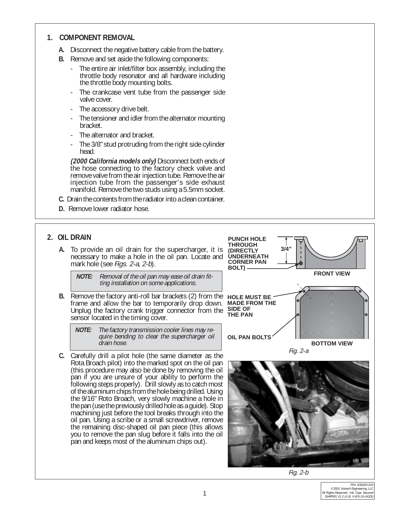#### **1. COMPONENT REMOVAL**

- **A.** Disconnect the negative battery cable from the battery.
- **B.** Remove and set aside the following components:
	- The entire air inlet/filter box assembly, including the throttle body resonator and all hardware including the throttle body mounting bolts.
	- The crankcase vent tube from the passenger side valve cover.
	- The accessory drive belt.
	- The tensioner and idler from the alternator mounting bracket.
	- The alternator and bracket.
	- The 3/8" stud protruding from the right side cylinder head.

**(2000 California models only)** Disconnect both ends of the hose connecting to the factory check valve and remove valve from the air injection tube. Remove the air injection tube from the passenger's side exhaust manifold. Remove the two studs using a 5.5mm socket.

- **C.** Drain the contents from the radiator into a clean container.
- **D.** Remove lower radiator hose.

#### **2. OIL DRAIN**

**A.** To provide an oil drain for the supercharger, it is necessary to make a hole in the oil pan. Locate and mark hole (see *Figs. 2-a, 2-b*).

> **NOTE:** Removal of the oil pan may ease oil drain fitting installation on some applications.

**B.** Remove the factory anti-roll bar brackets (2) from the **HOLE MUST BE** frame and allow the bar to temporarily drop down. Unplug the factory crank trigger connector from the sensor located in the timing cover.

**NOTE:** The factory transmission cooler lines may require bending to clear the supercharger oil drain hose.

**C.** Carefully drill a pilot hole (the same diameter as the Rota Broach pilot) into the marked spot on the oil pan (this procedure may also be done by removing the oil pan if you are unsure of your ability to perform the following steps properly). Drill slowly as to catch most of the aluminum chips from the hole being drilled. Using the 9/16" Roto Broach, very slowly machine a hole in the pan (use the previously drilled hole as a guide). Stop machining just before the tool breaks through into the oil pan. Using a scribe or a small screwdriver, remove the remaining disc-shaped oil pan piece (this allows you to remove the pan slug before it falls into the oil pan and keeps most of the aluminum chips out).





Fig. 2-b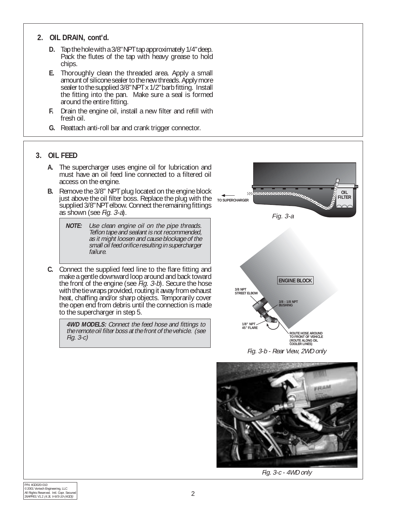#### **2. OIL DRAIN, cont'd.**

- **D.** Tap the hole with a 3/8" NPT tap approximately 1/4" deep. Pack the flutes of the tap with heavy grease to hold chips.
- **E.** Thoroughly clean the threaded area. Apply a small amount of silicone sealer to the new threads. Apply more sealer to the supplied 3/8" NPT x 1/2" barb fitting. Install the fitting into the pan. Make sure a seal is formed around the entire fitting.
- **F.** Drain the engine oil, install a new filter and refill with fresh oil.
- **G.** Reattach anti-roll bar and crank trigger connector.

#### **3. OIL FEED**

- **A.** The supercharger uses engine oil for lubrication and must have an oil feed line connected to a filtered oil access on the engine.
- **B.** Remove the 3/8" NPT plug located on the engine block just above the oil filter boss. Replace the plug with the supplied 3/8" NPT elbow. Connect the remaining fittings as shown (see Fig. 3-a).
	- **NOTE:** Use clean engine oil on the pipe threads. Teflon tape and sealant is not recommended, as it might loosen and cause blockage of the small oil feed orifice resulting in supercharger failure.
- **C.** Connect the supplied feed line to the flare fitting and make a gentle downward loop around and back toward the front of the engine (see *Fig. 3-b*). Secure the hose with the tie wraps provided, routing it away from exhaust heat, chaffing and/or sharp objects. Temporarily cover the open end from debris until the connection is made to the supercharger in step 5.

**4WD MODELS:** Connect the feed hose and fittings to the remote oil filter boss at the front of the vehicle. (see Fig. 3-c)





Fig. 3-c - 4WD only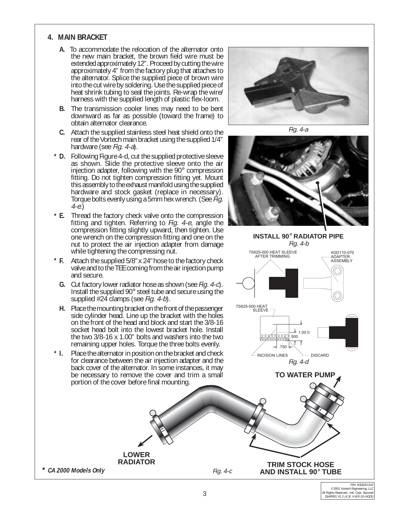#### **4. MAIN BRACKET**

- **A.** To accommodate the relocation of the alternator onto the new main bracket, the brown field wire must be extended approximately 12". Proceed by cutting the wire approximately 4" from the factory plug that attaches to the alternator. Splice the supplied piece of brown wire into the cut wire by soldering. Use the supplied piece of heat shrink tubing to seal the joints. Re-wrap the wire/ harness with the supplied length of plastic flex-loom.
- **B.** The transmission cooler lines may need to be bent downward as far as possible (toward the frame) to obtain alternator clearance.
- **C.** Attach the supplied stainless steel heat shield onto the rear of the Vortech main bracket using the supplied  $1/4$ " hardware (see *Fig. 4-a*).
- **D.** Following Figure 4-d, cut the supplied protective sleeve **\*** as shown. Slide the protective sleeve onto the air injection adapter, following with the 90° compression fitting. Do not tighten compression fitting yet. Mount this assembly to the exhaust manifold using the supplied hardware and stock gasket (replace in necessary). Torque bolts evenly using a 5mm hex wrench. (See Fig. 4-e.)
- **E.** Thread the factory check valve onto the compression **\*** fitting and tighten. Referring to Fig. 4-e, angle the compression fitting slightly upward, then tighten. Use one wrench on the compression fitting and one on the nut to protect the air injection adapter from damage while tightening the compressing nut.
- **F.** Attach the supplied 5/8" x 24" hose to the factory check valve and to the TEE coming from the air injection pump and secure.  $*$  F.
	- **G.** Cut factory lower radiator hose as shown (see Fig. 4-c). Install the supplied 90 $^{\circ}$  steel tube and secure using the supplied #24 clamps (see *Fig. 4-b*).
	- **H.** Place the mounting bracket on the front of the passenger side cylinder head. Line up the bracket with the holes on the front of the head and block and start the 3/8-16 socket head bolt into the lowest bracket hole. Install the two 3/8-16 x 1.00" bolts and washers into the two remaining upper holes. Torque the three bolts evenly.
- **I.** Place the alternator in position on the bracket and check for clearance between the air injection adapter and the back cover of the alternator. In some instances, it may be necessary to remove the cover and trim a small portion of the cover before final mounting. **\***

**LOWER RADIATOR**



Fig. 4-a



**INSTALL 90**° **RADIATOR PIPE** Fig. 4-b 7S625-000 HEAT SLEEVE 4GD110-070 AFTER TRIMMING ADAPTER ASSEMBLY 7S625-000 HEAT SLEEVE 1.00 0.500 **MAY MAY MAY**  $\rightarrow$  750  $\angle$  INCISION LINES  $\searrow$  DISCARD

**TO WATER PUMP**

Fig. 4-d

**\* CA 2000 Models Only** Fig. 4-c

**TRIM STOCK HOSE AND INSTALL 90**° **TUBE**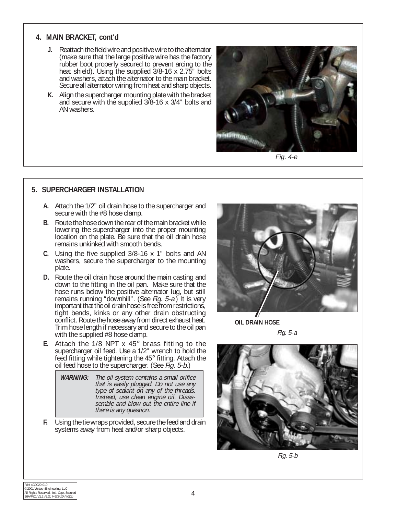#### **4. MAIN BRACKET, cont'd**

- **J.** Reattach the field wire and positive wire to the alternator (make sure that the large positive wire has the factory rubber boot properly secured to prevent arcing to the heat shield). Using the supplied 3/8-16 x 2.75" bolts and washers, attach the alternator to the main bracket. Secure all alternator wiring from heat and sharp objects.
- **K.** Align the supercharger mounting plate with the bracket and secure with the supplied 3/8-16 x 3/4" bolts and AN washers.



Fig. 4-e

#### **5. SUPERCHARGER INSTALLATION**

- **A.** Attach the 1/2" oil drain hose to the supercharger and secure with the #8 hose clamp.
- **B.** Route the hose down the rear of the main bracket while lowering the supercharger into the proper mounting location on the plate. Be sure that the oil drain hose remains unkinked with smooth bends.
- **C.** Using the five supplied 3/8-16 x 1" bolts and AN washers, secure the supercharger to the mounting plate.
- **D.** Route the oil drain hose around the main casting and down to the fitting in the oil pan. Make sure that the hose runs below the positive alternator lug, but still remains running "downhill". (See Fig. 5-a.) It is very important that the oil drain hose is free from restrictions, tight bends, kinks or any other drain obstructing conflict. Route the hose away from direct exhaust heat. Trim hose length if necessary and secure to the oil pan with the supplied #8 hose clamp.
- **E.** Attach the 1/8 NPT x 45° brass fitting to the supercharger oil feed. Use a 1/2" wrench to hold the feed fitting while tightening the 45° fitting. Attach the oil feed hose to the supercharger. (See Fig. 5-b.)

| <i>WARNING:</i> | The oil system contains a small orifice<br>that is easily plugged. Do not use any<br>type of sealant on any of the threads.<br>Instead, use clean engine oil. Disas- |
|-----------------|----------------------------------------------------------------------------------------------------------------------------------------------------------------------|
|                 | semble and blow out the entire line if<br>there is any question.                                                                                                     |

**F.** Using the tie wraps provided, secure the feed and drain systems away from heat and/or sharp objects.



**OIL DRAIN HOSE**

Fig. 5-a



Fig. 5-b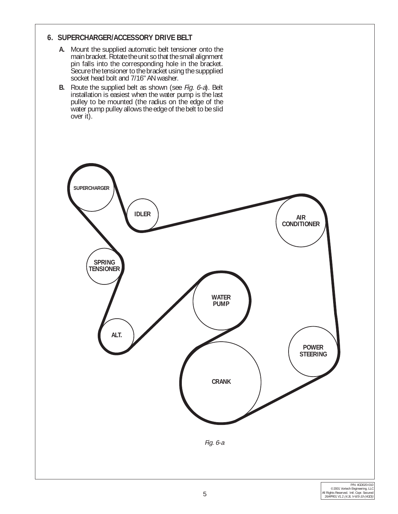#### **6. SUPERCHARGER/ACCESSORY DRIVE BELT**

- **A.** Mount the supplied automatic belt tensioner onto the main bracket. Rotate the unit so that the small alignment pin falls into the corresponding hole in the bracket. Secure the tensioner to the bracket using the suppplied socket head bolt and 7/16" AN washer.
- **B.** Route the supplied belt as shown (see Fig. 6-a). Belt installation is easiest when the water pump is the last pulley to be mounted (the radius on the edge of the water pump pulley allows the edge of the belt to be slid over it).

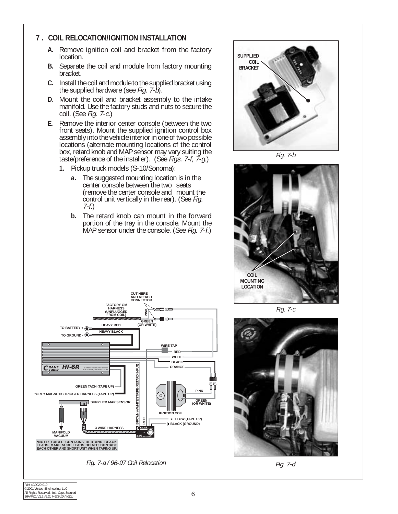#### **7 . COIL RELOCATION/IGNITION INSTALLATION**

- **A.** Remove ignition coil and bracket from the factory location.
- **B.** Separate the coil and module from factory mounting bracket.
- **C.** Install the coil and module to the supplied bracket using the supplied hardware (see *Fig. 7-b*).
- **D.** Mount the coil and bracket assembly to the intake manifold. Use the factory studs and nuts to secure the coil. (See Fig. 7-c.)
- **E.** Remove the interior center console (between the two front seats). Mount the supplied ignition control box assembly into the vehicle interior in one of two possible locations (alternate mounting locations of the control box, retard knob and MAP sensor may vary suiting the taste/preference of the installer). (See Figs. 7-f, 7-g.)
	- **1.** Pickup truck models (S-10/Sonoma):
		- **a.** The suggested mounting location is in the center console between the two seats (remove the center console and mount the control unit vertically in the rear). (See Fig. 7-f.)
		- **b.** The retard knob can mount in the forward portion of the tray in the console. Mount the MAP sensor under the console. (See Fig. 7-f.)

**CUT HERE**



Fig. 7-b



Fig. 7-c



Fig. 7-a / 96-97 Coil Relocation Case of Contraction Contraction Contraction Contraction Contraction Contraction



**MANIFOLD VACUUM**

**TO BATTERY + TO GROUND -**

Щ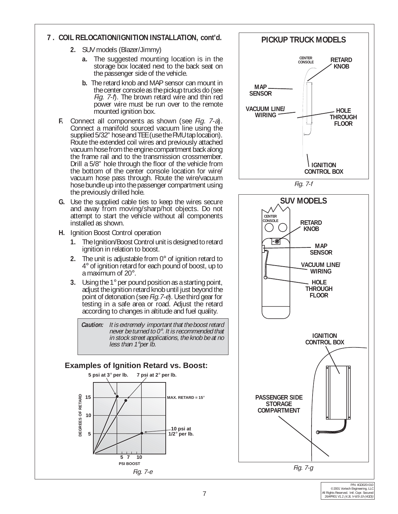#### **7 . COIL RELOCATION/IGNITION INSTALLATION, cont'd.**

- **2.** SUV models (Blazer/Jimmy)
	- **a.** The suggested mounting location is in the storage box located next to the back seat on the passenger side of the vehicle.
	- **b.** The retard knob and MAP sensor can mount in the center console as the pickup trucks do (see Fig. 7-f). The brown retard wire and thin red power wire must be run over to the remote mounted ignition box.
- **F.** Connect all components as shown (see Fig. 7-a). Connect a manifold sourced vacuum line using the supplied 5/32" hose and TEE (use the FMU tap location). Route the extended coil wires and previously attached vacuum hose from the engine compartment back along the frame rail and to the transmission crossmember. Drill a 5/8" hole through the floor of the vehicle from the bottom of the center console location for wire/ vacuum hose pass through. Route the wire/vacuum hose bundle up into the passenger compartment using the previously drilled hole.
- **G.** Use the supplied cable ties to keep the wires secure and away from moving/sharp/hot objects. Do not attempt to start the vehicle without all components installed as shown.
- **H.** Ignition Boost Control operation
	- **1.** The Ignition/Boost Control unit is designed to retard ignition in relation to boost.
	- **2.** The unit is adjustable from 0° of ignition retard to 4° of ignition retard for each pound of boost, up to a maximum of 20°.
	- **3.** Using the 1° per pound position as a starting point, adjust the ignition retard knob until just beyond the point of detonation (see Fig.7-e). Use third gear for testing in a safe area or road. Adjust the retard according to changes in altitude and fuel quality.

**Caution:** It is extremely important that the boost retard never be turned to  $0^\circ$ . It is recommended that in stock street applications, the knob be at no less than 1°per lb.

#### **Examples of Ignition Retard vs. Boost:**



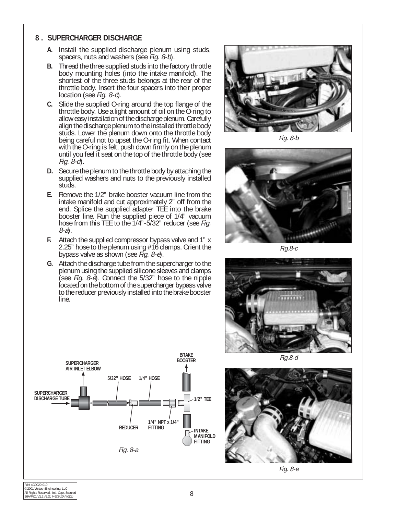#### **8 . SUPERCHARGER DISCHARGE**

- **A.** Install the supplied discharge plenum using studs, spacers, nuts and washers (see Fig. 8-b).
- **B.** Thread the three supplied studs into the factory throttle body mounting holes (into the intake manifold). The shortest of the three studs belongs at the rear of the throttle body. Insert the four spacers into their proper location (see Fig. 8-c).
- **C.** Slide the supplied O-ring around the top flange of the throttle body. Use a light amount of oil on the O-ring to allow easy installation of the discharge plenum. Carefully align the discharge plenum to the installed throttle body studs. Lower the plenum down onto the throttle body being careful not to upset the O-ring fit. When contact with the O-ring is felt, push down firmly on the plenum until you feel it seat on the top of the throttle body (see Fig.  $\ddot{\theta}$ -d).
- **D.** Secure the plenum to the throttle body by attaching the supplied washers and nuts to the previously installed studs.
- **E.** Remove the 1/2" brake booster vacuum line from the intake manifold and cut approximately 2" off from the end. Splice the supplied adapter TEE into the brake booster line. Run the supplied piece of 1/4" vacuum hose from this TEE to the 1/4"-5/32" reducer (see Fig. 8-a).
- **F.** Attach the supplied compressor bypass valve and 1" x 2.25" hose to the plenum using #16 clamps. Orient the bypass valve as shown (see  $\vec{Fig. 8-e}$ ).
- **G.** Attach the discharge tube from the supercharger to the plenum using the supplied silicone sleeves and clamps (see Fig.  $8 - e$ ). Connect the  $5/32$ " hose to the nipple located on the bottom of the supercharger bypass valve to the reducer previously installed into the brake booster line.



Fig. 8-b



Fig.8-c





Fig.8-d



Fig. 8-e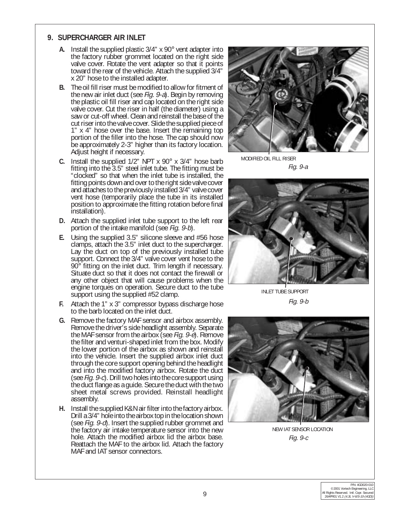#### **9. SUPERCHARGER AIR INLET**

- **A.** Install the supplied plastic 3/4" x 90° vent adapter into the factory rubber grommet located on the right side valve cover. Rotate the vent adapter so that it points toward the rear of the vehicle. Attach the supplied 3/4" x 20" hose to the installed adapter.
- **B.** The oil fill riser must be modified to allow for fitment of the new air inlet duct (see Fig. 9-a). Begin by removing the plastic oil fill riser and cap located on the right side valve cover. Cut the riser in half (the diameter) using a saw or cut-off wheel. Clean and reinstall the base of the cut riser into the valve cover. Slide the supplied piece of 1" x 4" hose over the base. Insert the remaining top portion of the filler into the hose. The cap should now be approximately 2-3" higher than its factory location. Adjust height if necessary.
- **C.** Install the supplied 1/2" NPT x 90° x 3/4" hose barb fitting into the 3.5" steel inlet tube. The fitting must be "clocked" so that when the inlet tube is installed, the fitting points down and over to the right side valve cover and attaches to the previously installed 3/4" valve cover vent hose (temporarily place the tube in its installed position to approximate the fitting rotation before final installation).
- **D.** Attach the supplied inlet tube support to the left rear portion of the intake manifold (see Fig. 9-b).
- **E.** Using the supplied 3.5" silicone sleeve and #56 hose clamps, attach the 3.5" inlet duct to the supercharger. Lay the duct on top of the previously installed tube support. Connect the 3/4" valve cover vent hose to the 90° fitting on the inlet duct. Trim length if necessary. Situate duct so that it does not contact the firewall or any other object that will cause problems when the engine torques on operation. Secure duct to the tube support using the supplied #52 clamp.
- **F.** Attach the 1" x 3" compressor bypass discharge hose to the barb located on the inlet duct.
- **G.** Remove the factory MAF sensor and airbox assembly. Remove the driver's side headlight assembly. Separate the MAF sensor from the airbox (see Fig.  $9-\tilde{e}$ ). Remove the filter and venturi-shaped inlet from the box. Modify the lower portion of the airbox as shown and reinstall into the vehicle. Insert the supplied airbox inlet duct through the core support opening behind the headlight and into the modified factory airbox. Rotate the duct (see Fig. 9-c). Drill two holes into the core support using the duct flange as a guide. Secure the duct with the two sheet metal screws provided. Reinstall headlight assembly.
- **H.** Install the supplied K&N air filter into the factory airbox. Drill a 3/4" hole into the airbox top in the location shown (see Fig. 9-d). Insert the supplied rubber grommet and the factory air intake temperature sensor into the new hole. Attach the modified airbox lid the airbox base. Reattach the MAF to the airbox lid. Attach the factory MAF and IAT sensor connectors.



Fig. 9-a MODIFIED OIL FILL RISER



INLET TUBE SUPPORT Fig. 9-b



NEW IAT SENSOR LOCATION Fig. 9-c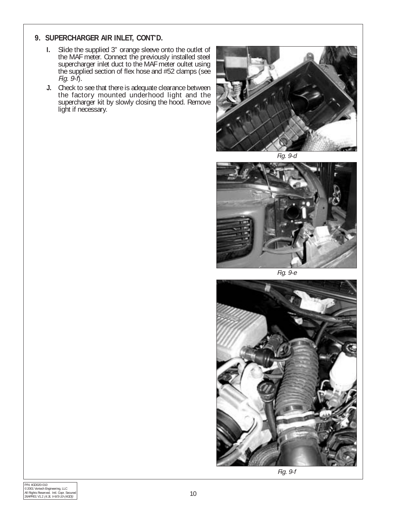#### **9. SUPERCHARGER AIR INLET, CONT'D.**

- **I.** Slide the supplied 3" orange sleeve onto the outlet of the MAF meter. Connect the previously installed steel supercharger inlet duct to the MAF meter oultet using the supplied section of flex hose and #52 clamps (see Fig. 9-f).
- **J.** Check to see that there is adequate clearance between the factory mounted underhood light and the supercharger kit by slowly closing the hood. Remove light if necessary.



Fig. 9-d



Fig. 9-e



Fig. 9-f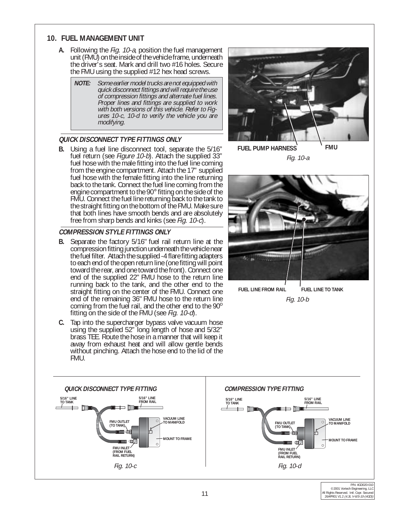#### **10. FUEL MANAGEMENT UNIT**

- **A.** Following the *Fig. 10-a*, position the fuel management unit (FMU) on the inside of the vehicle frame, underneath the driver's seat. Mark and drill two #16 holes. Secure the FMU using the supplied #12 hex head screws.
	- **NOTE:** Some earlier model trucks are not equipped with quick disconnect fittings and will require the use of compression fittings and alternate fuel lines. Proper lines and fittings are supplied to work with both versions of this vehicle. Refer to Figures 10-c, 10-d to verify the vehicle you are modifying.

#### **QUICK DISCONNECT TYPE FITTINGS ONLY**

**B.** Using a fuel line disconnect tool, separate the 5/16" fuel return (see *Figure 10-b*). Attach the supplied 33" fuel hose with the male fitting into the fuel line coming from the engine compartment. Attach the 17" supplied fuel hose with the female fitting into the line returning back to the tank. Connect the fuel line coming from the engine compartment to the 90° fitting on the side of the FMU. Connect the fuel line returning back to the tank to the straight fitting on the bottom of the FMU. Make sure that both lines have smooth bends and are absolutely free from sharp bends and kinks (see Fig. 10-c).

#### **COMPRESSION STYLE FITTINGS ONLY**

- **B.** Separate the factory 5/16" fuel rail return line at the compression fitting junction underneath the vehicle near the fuel filter. Attach the supplied -4 flare fitting adapters to each end of the open return line (one fitting will point toward the rear, and one toward the front). Connect one end of the supplied 22" FMU hose to the return line running back to the tank, and the other end to the straight fitting on the center of the FMU. Connect one end of the remaining 36" FMU hose to the return line coming from the fuel rail, and the other end to the  $90^\circ$ fitting on the side of the FMU (see *Fig. 10-d*).
- **C.** Tap into the supercharger bypass valve vacuum hose using the supplied 52" long length of hose and 5/32" brass TEE. Route the hose in a manner that will keep it away from exhaust heat and will allow gentle bends without pinching. Attach the hose end to the lid of the FMU.



**FUEL PUMP HARNESS FMU** Fig. 10-a



Fig. 10-b

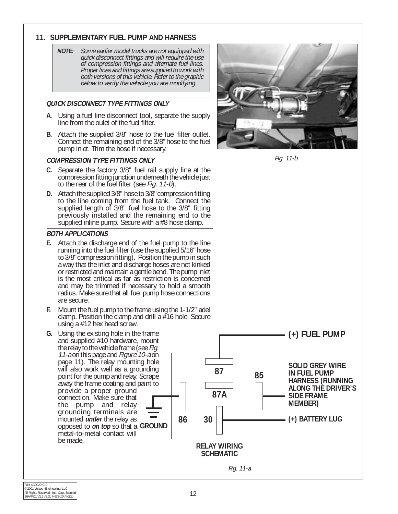#### **11. SUPPLEMENTARY FUEL PUMP AND HARNESS**

**NOTE:** Some earlier model trucks are not equipped with quick disconnect fittings and will require the use of compression fittings and alternate fuel lines. Proper lines and fittings are supplied to work with both versions of this vehicle. Refer to the graphic below to verify the vehicle you are modifying.

#### **QUICK DISCONNECT TYPE FITTINGS ONLY**

- **A.** Using a fuel line disconnect tool, separate the supply line from the oulet of the fuel filter.
- **B.** Attach the supplied 3/8" hose to the fuel filter outlet. Connect the remaining end of the 3/8" hose to the fuel pump inlet. Trim the hose if necessary.

#### **COMPRESSION TYPE FITTINGS ONLY**

- **C.** Separate the factory 3/8" fuel rail supply line at the compression fitting junction underneath the vehicle just to the rear of the fuel filter (see Fig. 11-b).
- **D.** Attach the supplied 3/8" hose to 3/8" compression fitting to the line coming from the fuel tank. Connect the supplied length of 3/8" fuel hose to the 3/8" fitting previously installed and the remaining end to the supplied inline pump. Secure with a #8 hose clamp.

#### **BOTH APPLICATIONS**

- **E.** Attach the discharge end of the fuel pump to the line running into the fuel filter (use the supplied 5/16" hose to 3/8" compression fitting). Position the pump in such a way that the inlet and discharge hoses are not kinked or restricted and maintain a gentle bend. The pump inlet is the most critical as far as restriction is concerned and may be trimmed if necessary to hold a smooth radius. Make sure that all fuel pump hose connections are secure.
- **F.** Mount the fuel pump to the frame using the 1-1/2" adel clamp. Position the clamp and drill a  $#16$  hole. Secure using a #12 hex head screw.
- **G.** Using the existing hole in the frame and supplied #10 hardware, mount the relay to the vehicle frame (see Fig. 11-a on this page and Figure 10-a on page 11). The relay mounting hole will also work well as a grounding point for the pump and relay. Scrape away the frame coating and paint to provide a proper ground connection. Make sure that the pump and relay grounding terminals are mounted **under** the relay as opposed to **on top** so that a GROUND metal-to-metal contact will be made.



Fig. 11-b

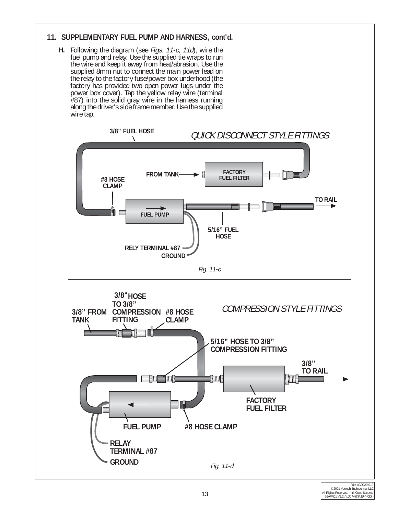#### **11. SUPPLEMENTARY FUEL PUMP AND HARNESS, cont'd.**

**H.** Following the diagram (see Figs. 11-c, 11d), wire the fuel pump and relay. Use the supplied tie wraps to run the wire and keep it away from heat/abrasion. Use the supplied 8mm nut to connect the main power lead on the relay to the factory fuse/power box underhood (the factory has provided two open power lugs under the power box cover). Tap the yellow relay wire (terminal #87) into the solid gray wire in the harness running along the driver's side frame member. Use the supplied wire tap.